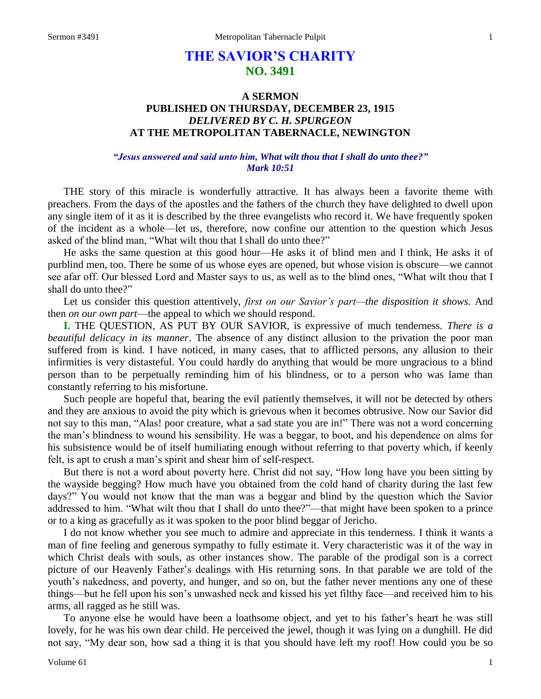# **THE SAVIOR'S CHARITY NO. 3491**

## **A SERMON PUBLISHED ON THURSDAY, DECEMBER 23, 1915** *DELIVERED BY C. H. SPURGEON* **AT THE METROPOLITAN TABERNACLE, NEWINGTON**

### *"Jesus answered and said unto him, What wilt thou that I shall do unto thee?" Mark 10:51*

THE story of this miracle is wonderfully attractive. It has always been a favorite theme with preachers. From the days of the apostles and the fathers of the church they have delighted to dwell upon any single item of it as it is described by the three evangelists who record it. We have frequently spoken of the incident as a whole—let us, therefore, now confine our attention to the question which Jesus asked of the blind man, "What wilt thou that I shall do unto thee?"

He asks the same question at this good hour—He asks it of blind men and I think, He asks it of purblind men, too. There be some of us whose eyes are opened, but whose vision is obscure—we cannot see afar off. Our blessed Lord and Master says to us, as well as to the blind ones, "What wilt thou that I shall do unto thee?"

Let us consider this question attentively, *first on our Savior's part—the disposition it shows*. And then *on our own part*—the appeal to which we should respond.

**I.** THE QUESTION, AS PUT BY OUR SAVIOR, is expressive of much tenderness. *There is a beautiful delicacy in its manner*. The absence of any distinct allusion to the privation the poor man suffered from is kind. I have noticed, in many cases, that to afflicted persons, any allusion to their infirmities is very distasteful. You could hardly do anything that would be more ungracious to a blind person than to be perpetually reminding him of his blindness, or to a person who was lame than constantly referring to his misfortune.

Such people are hopeful that, bearing the evil patiently themselves, it will not be detected by others and they are anxious to avoid the pity which is grievous when it becomes obtrusive. Now our Savior did not say to this man, "Alas! poor creature, what a sad state you are in!" There was not a word concerning the man's blindness to wound his sensibility. He was a beggar, to boot, and his dependence on alms for his subsistence would be of itself humiliating enough without referring to that poverty which, if keenly felt, is apt to crush a man's spirit and shear him of self-respect.

But there is not a word about poverty here. Christ did not say, "How long have you been sitting by the wayside begging? How much have you obtained from the cold hand of charity during the last few days?" You would not know that the man was a beggar and blind by the question which the Savior addressed to him. "What wilt thou that I shall do unto thee?"—that might have been spoken to a prince or to a king as gracefully as it was spoken to the poor blind beggar of Jericho.

I do not know whether you see much to admire and appreciate in this tenderness. I think it wants a man of fine feeling and generous sympathy to fully estimate it. Very characteristic was it of the way in which Christ deals with souls, as other instances show. The parable of the prodigal son is a correct picture of our Heavenly Father's dealings with His returning sons. In that parable we are told of the youth's nakedness, and poverty, and hunger, and so on, but the father never mentions any one of these things—but he fell upon his son's unwashed neck and kissed his yet filthy face—and received him to his arms, all ragged as he still was.

To anyone else he would have been a loathsome object, and yet to his father's heart he was still lovely, for he was his own dear child. He perceived the jewel, though it was lying on a dunghill. He did not say, "My dear son, how sad a thing it is that you should have left my roof! How could you be so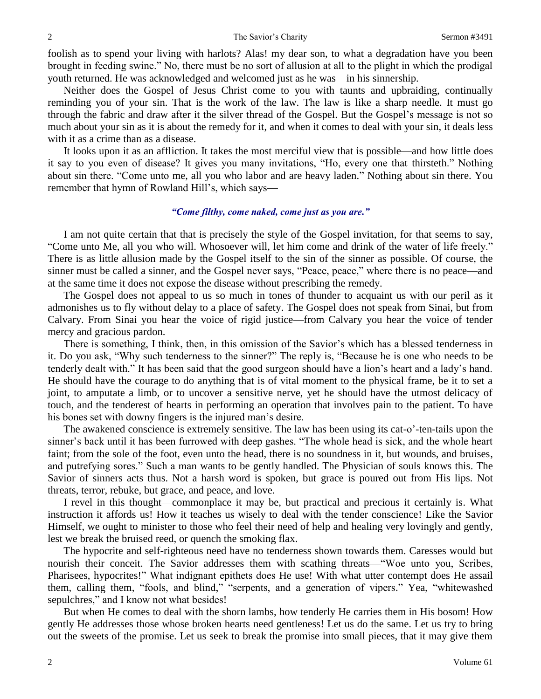foolish as to spend your living with harlots? Alas! my dear son, to what a degradation have you been brought in feeding swine." No, there must be no sort of allusion at all to the plight in which the prodigal youth returned. He was acknowledged and welcomed just as he was—in his sinnership.

Neither does the Gospel of Jesus Christ come to you with taunts and upbraiding, continually reminding you of your sin. That is the work of the law. The law is like a sharp needle. It must go through the fabric and draw after it the silver thread of the Gospel. But the Gospel's message is not so much about your sin as it is about the remedy for it, and when it comes to deal with your sin, it deals less with it as a crime than as a disease.

It looks upon it as an affliction. It takes the most merciful view that is possible—and how little does it say to you even of disease? It gives you many invitations, "Ho, every one that thirsteth." Nothing about sin there. "Come unto me, all you who labor and are heavy laden." Nothing about sin there. You remember that hymn of Rowland Hill's, which says—

#### *"Come filthy, come naked, come just as you are."*

I am not quite certain that that is precisely the style of the Gospel invitation, for that seems to say, "Come unto Me, all you who will. Whosoever will, let him come and drink of the water of life freely." There is as little allusion made by the Gospel itself to the sin of the sinner as possible. Of course, the sinner must be called a sinner, and the Gospel never says, "Peace, peace," where there is no peace—and at the same time it does not expose the disease without prescribing the remedy.

The Gospel does not appeal to us so much in tones of thunder to acquaint us with our peril as it admonishes us to fly without delay to a place of safety. The Gospel does not speak from Sinai, but from Calvary. From Sinai you hear the voice of rigid justice—from Calvary you hear the voice of tender mercy and gracious pardon.

There is something, I think, then, in this omission of the Savior's which has a blessed tenderness in it. Do you ask, "Why such tenderness to the sinner?" The reply is, "Because he is one who needs to be tenderly dealt with." It has been said that the good surgeon should have a lion's heart and a lady's hand. He should have the courage to do anything that is of vital moment to the physical frame, be it to set a joint, to amputate a limb, or to uncover a sensitive nerve, yet he should have the utmost delicacy of touch, and the tenderest of hearts in performing an operation that involves pain to the patient. To have his bones set with downy fingers is the injured man's desire.

The awakened conscience is extremely sensitive. The law has been using its cat-o'-ten-tails upon the sinner's back until it has been furrowed with deep gashes. "The whole head is sick, and the whole heart faint; from the sole of the foot, even unto the head, there is no soundness in it, but wounds, and bruises, and putrefying sores." Such a man wants to be gently handled. The Physician of souls knows this. The Savior of sinners acts thus. Not a harsh word is spoken, but grace is poured out from His lips. Not threats, terror, rebuke, but grace, and peace, and love.

I revel in this thought—commonplace it may be, but practical and precious it certainly is. What instruction it affords us! How it teaches us wisely to deal with the tender conscience! Like the Savior Himself, we ought to minister to those who feel their need of help and healing very lovingly and gently, lest we break the bruised reed, or quench the smoking flax.

The hypocrite and self-righteous need have no tenderness shown towards them. Caresses would but nourish their conceit. The Savior addresses them with scathing threats—"Woe unto you, Scribes, Pharisees, hypocrites!" What indignant epithets does He use! With what utter contempt does He assail them, calling them, "fools, and blind," "serpents, and a generation of vipers." Yea, "whitewashed sepulchres," and I know not what besides!

But when He comes to deal with the shorn lambs, how tenderly He carries them in His bosom! How gently He addresses those whose broken hearts need gentleness! Let us do the same. Let us try to bring out the sweets of the promise. Let us seek to break the promise into small pieces, that it may give them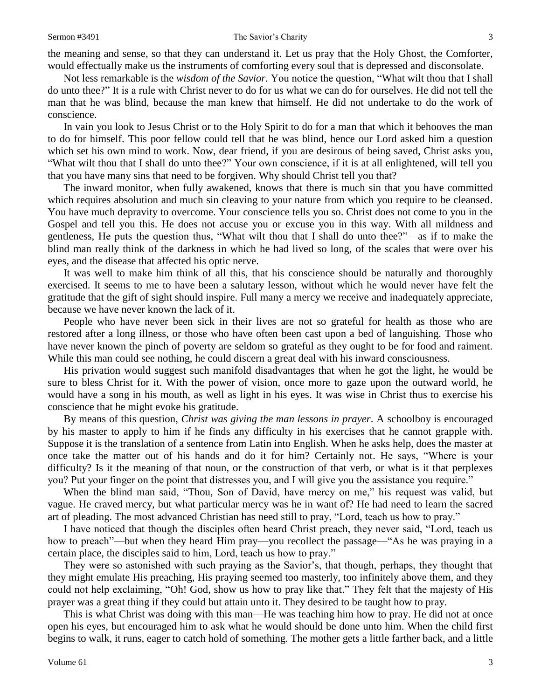the meaning and sense, so that they can understand it. Let us pray that the Holy Ghost, the Comforter, would effectually make us the instruments of comforting every soul that is depressed and disconsolate.

Not less remarkable is the *wisdom of the Savior.* You notice the question, "What wilt thou that I shall do unto thee?" It is a rule with Christ never to do for us what we can do for ourselves. He did not tell the man that he was blind, because the man knew that himself. He did not undertake to do the work of conscience.

In vain you look to Jesus Christ or to the Holy Spirit to do for a man that which it behooves the man to do for himself. This poor fellow could tell that he was blind, hence our Lord asked him a question which set his own mind to work. Now, dear friend, if you are desirous of being saved, Christ asks you, "What wilt thou that I shall do unto thee?" Your own conscience, if it is at all enlightened, will tell you that you have many sins that need to be forgiven. Why should Christ tell you that?

The inward monitor, when fully awakened, knows that there is much sin that you have committed which requires absolution and much sin cleaving to your nature from which you require to be cleansed. You have much depravity to overcome. Your conscience tells you so. Christ does not come to you in the Gospel and tell you this. He does not accuse you or excuse you in this way. With all mildness and gentleness, He puts the question thus, "What wilt thou that I shall do unto thee?"—as if to make the blind man really think of the darkness in which he had lived so long, of the scales that were over his eyes, and the disease that affected his optic nerve.

It was well to make him think of all this, that his conscience should be naturally and thoroughly exercised. It seems to me to have been a salutary lesson, without which he would never have felt the gratitude that the gift of sight should inspire. Full many a mercy we receive and inadequately appreciate, because we have never known the lack of it.

People who have never been sick in their lives are not so grateful for health as those who are restored after a long illness, or those who have often been cast upon a bed of languishing. Those who have never known the pinch of poverty are seldom so grateful as they ought to be for food and raiment. While this man could see nothing, he could discern a great deal with his inward consciousness.

His privation would suggest such manifold disadvantages that when he got the light, he would be sure to bless Christ for it. With the power of vision, once more to gaze upon the outward world, he would have a song in his mouth, as well as light in his eyes. It was wise in Christ thus to exercise his conscience that he might evoke his gratitude.

By means of this question, *Christ was giving the man lessons in prayer*. A schoolboy is encouraged by his master to apply to him if he finds any difficulty in his exercises that he cannot grapple with. Suppose it is the translation of a sentence from Latin into English. When he asks help, does the master at once take the matter out of his hands and do it for him? Certainly not. He says, "Where is your difficulty? Is it the meaning of that noun, or the construction of that verb, or what is it that perplexes you? Put your finger on the point that distresses you, and I will give you the assistance you require."

When the blind man said, "Thou, Son of David, have mercy on me," his request was valid, but vague. He craved mercy, but what particular mercy was he in want of? He had need to learn the sacred art of pleading. The most advanced Christian has need still to pray, "Lord, teach us how to pray."

I have noticed that though the disciples often heard Christ preach, they never said, "Lord, teach us how to preach"—but when they heard Him pray—you recollect the passage—"As he was praying in a certain place, the disciples said to him, Lord, teach us how to pray."

They were so astonished with such praying as the Savior's, that though, perhaps, they thought that they might emulate His preaching, His praying seemed too masterly, too infinitely above them, and they could not help exclaiming, "Oh! God, show us how to pray like that." They felt that the majesty of His prayer was a great thing if they could but attain unto it. They desired to be taught how to pray.

This is what Christ was doing with this man—He was teaching him how to pray. He did not at once open his eyes, but encouraged him to ask what he would should be done unto him. When the child first begins to walk, it runs, eager to catch hold of something. The mother gets a little farther back, and a little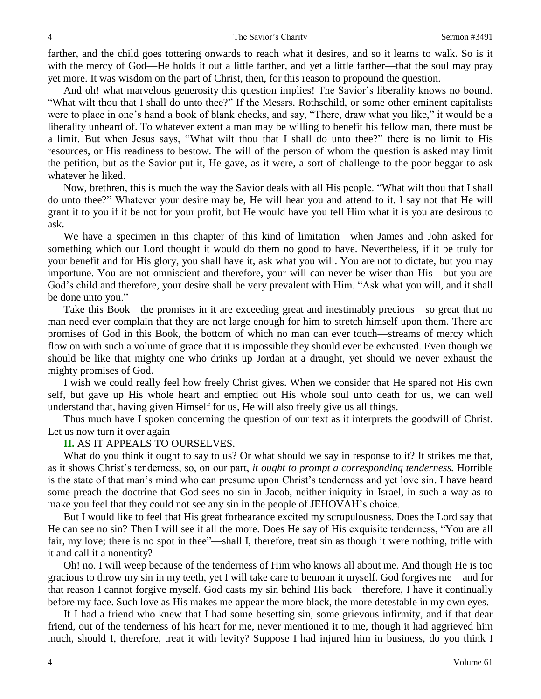farther, and the child goes tottering onwards to reach what it desires, and so it learns to walk. So is it with the mercy of God—He holds it out a little farther, and yet a little farther—that the soul may pray yet more. It was wisdom on the part of Christ, then, for this reason to propound the question.

And oh! what marvelous generosity this question implies! The Savior's liberality knows no bound. "What wilt thou that I shall do unto thee?" If the Messrs. Rothschild, or some other eminent capitalists were to place in one's hand a book of blank checks, and say, "There, draw what you like," it would be a liberality unheard of. To whatever extent a man may be willing to benefit his fellow man, there must be a limit. But when Jesus says, "What wilt thou that I shall do unto thee?" there is no limit to His resources, or His readiness to bestow. The will of the person of whom the question is asked may limit the petition, but as the Savior put it, He gave, as it were, a sort of challenge to the poor beggar to ask whatever he liked.

Now, brethren, this is much the way the Savior deals with all His people. "What wilt thou that I shall do unto thee?" Whatever your desire may be, He will hear you and attend to it. I say not that He will grant it to you if it be not for your profit, but He would have you tell Him what it is you are desirous to ask.

We have a specimen in this chapter of this kind of limitation—when James and John asked for something which our Lord thought it would do them no good to have. Nevertheless, if it be truly for your benefit and for His glory, you shall have it, ask what you will. You are not to dictate, but you may importune. You are not omniscient and therefore, your will can never be wiser than His—but you are God's child and therefore, your desire shall be very prevalent with Him. "Ask what you will, and it shall be done unto you."

Take this Book—the promises in it are exceeding great and inestimably precious—so great that no man need ever complain that they are not large enough for him to stretch himself upon them. There are promises of God in this Book, the bottom of which no man can ever touch—streams of mercy which flow on with such a volume of grace that it is impossible they should ever be exhausted. Even though we should be like that mighty one who drinks up Jordan at a draught, yet should we never exhaust the mighty promises of God.

I wish we could really feel how freely Christ gives. When we consider that He spared not His own self, but gave up His whole heart and emptied out His whole soul unto death for us, we can well understand that, having given Himself for us, He will also freely give us all things.

Thus much have I spoken concerning the question of our text as it interprets the goodwill of Christ. Let us now turn it over again—

#### **II.** AS IT APPEALS TO OURSELVES.

What do you think it ought to say to us? Or what should we say in response to it? It strikes me that, as it shows Christ's tenderness, so, on our part, *it ought to prompt a corresponding tenderness.* Horrible is the state of that man's mind who can presume upon Christ's tenderness and yet love sin. I have heard some preach the doctrine that God sees no sin in Jacob, neither iniquity in Israel, in such a way as to make you feel that they could not see any sin in the people of JEHOVAH's choice.

But I would like to feel that His great forbearance excited my scrupulousness. Does the Lord say that He can see no sin? Then I will see it all the more. Does He say of His exquisite tenderness, "You are all fair, my love; there is no spot in thee"—shall I, therefore, treat sin as though it were nothing, trifle with it and call it a nonentity?

Oh! no. I will weep because of the tenderness of Him who knows all about me. And though He is too gracious to throw my sin in my teeth, yet I will take care to bemoan it myself. God forgives me—and for that reason I cannot forgive myself. God casts my sin behind His back—therefore, I have it continually before my face. Such love as His makes me appear the more black, the more detestable in my own eyes.

If I had a friend who knew that I had some besetting sin, some grievous infirmity, and if that dear friend, out of the tenderness of his heart for me, never mentioned it to me, though it had aggrieved him much, should I, therefore, treat it with levity? Suppose I had injured him in business, do you think I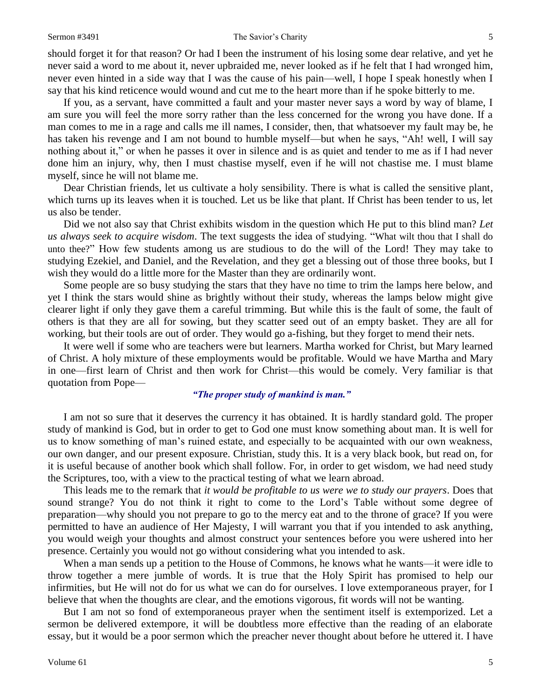#### Sermon #3491 **Sermon #3491** The Savior's Charity 5

should forget it for that reason? Or had I been the instrument of his losing some dear relative, and yet he never said a word to me about it, never upbraided me, never looked as if he felt that I had wronged him, never even hinted in a side way that I was the cause of his pain—well, I hope I speak honestly when I say that his kind reticence would wound and cut me to the heart more than if he spoke bitterly to me.

If you, as a servant, have committed a fault and your master never says a word by way of blame, I am sure you will feel the more sorry rather than the less concerned for the wrong you have done. If a man comes to me in a rage and calls me ill names, I consider, then, that whatsoever my fault may be, he has taken his revenge and I am not bound to humble myself—but when he says, "Ah! well, I will say nothing about it," or when he passes it over in silence and is as quiet and tender to me as if I had never done him an injury, why, then I must chastise myself, even if he will not chastise me. I must blame myself, since he will not blame me.

Dear Christian friends, let us cultivate a holy sensibility. There is what is called the sensitive plant, which turns up its leaves when it is touched. Let us be like that plant. If Christ has been tender to us, let us also be tender.

Did we not also say that Christ exhibits wisdom in the question which He put to this blind man? *Let us always seek to acquire wisdom*. The text suggests the idea of studying. "What wilt thou that I shall do unto thee?" How few students among us are studious to do the will of the Lord! They may take to studying Ezekiel, and Daniel, and the Revelation, and they get a blessing out of those three books, but I wish they would do a little more for the Master than they are ordinarily wont.

Some people are so busy studying the stars that they have no time to trim the lamps here below, and yet I think the stars would shine as brightly without their study, whereas the lamps below might give clearer light if only they gave them a careful trimming. But while this is the fault of some, the fault of others is that they are all for sowing, but they scatter seed out of an empty basket. They are all for working, but their tools are out of order. They would go a-fishing, but they forget to mend their nets.

It were well if some who are teachers were but learners. Martha worked for Christ, but Mary learned of Christ. A holy mixture of these employments would be profitable. Would we have Martha and Mary in one—first learn of Christ and then work for Christ—this would be comely. Very familiar is that quotation from Pope—

#### *"The proper study of mankind is man."*

I am not so sure that it deserves the currency it has obtained. It is hardly standard gold. The proper study of mankind is God, but in order to get to God one must know something about man. It is well for us to know something of man's ruined estate, and especially to be acquainted with our own weakness, our own danger, and our present exposure. Christian, study this. It is a very black book, but read on, for it is useful because of another book which shall follow. For, in order to get wisdom, we had need study the Scriptures, too, with a view to the practical testing of what we learn abroad.

This leads me to the remark that *it would be profitable to us were we to study our prayers*. Does that sound strange? You do not think it right to come to the Lord's Table without some degree of preparation—why should you not prepare to go to the mercy eat and to the throne of grace? If you were permitted to have an audience of Her Majesty, I will warrant you that if you intended to ask anything, you would weigh your thoughts and almost construct your sentences before you were ushered into her presence. Certainly you would not go without considering what you intended to ask.

When a man sends up a petition to the House of Commons, he knows what he wants—it were idle to throw together a mere jumble of words. It is true that the Holy Spirit has promised to help our infirmities, but He will not do for us what we can do for ourselves. I love extemporaneous prayer, for I believe that when the thoughts are clear, and the emotions vigorous, fit words will not be wanting.

But I am not so fond of extemporaneous prayer when the sentiment itself is extemporized. Let a sermon be delivered extempore, it will be doubtless more effective than the reading of an elaborate essay, but it would be a poor sermon which the preacher never thought about before he uttered it. I have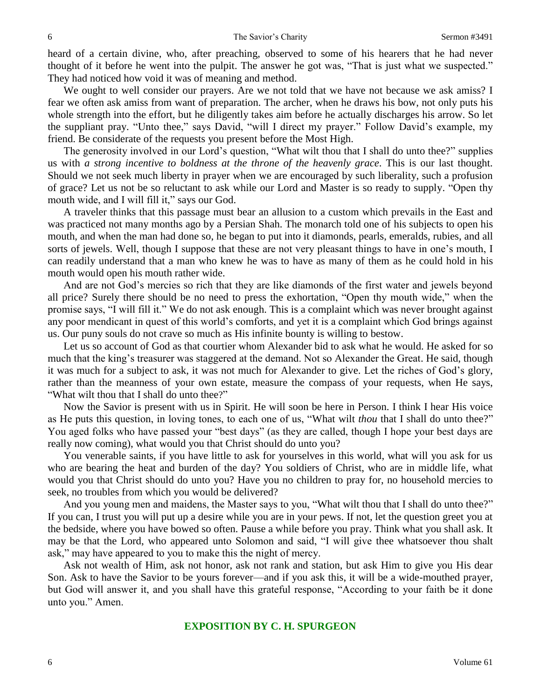heard of a certain divine, who, after preaching, observed to some of his hearers that he had never thought of it before he went into the pulpit. The answer he got was, "That is just what we suspected." They had noticed how void it was of meaning and method.

We ought to well consider our prayers. Are we not told that we have not because we ask amiss? I fear we often ask amiss from want of preparation. The archer, when he draws his bow, not only puts his whole strength into the effort, but he diligently takes aim before he actually discharges his arrow. So let the suppliant pray. "Unto thee," says David, "will I direct my prayer." Follow David's example, my friend. Be considerate of the requests you present before the Most High.

The generosity involved in our Lord's question, "What wilt thou that I shall do unto thee?" supplies us with *a strong incentive to boldness at the throne of the heavenly grace*. This is our last thought. Should we not seek much liberty in prayer when we are encouraged by such liberality, such a profusion of grace? Let us not be so reluctant to ask while our Lord and Master is so ready to supply. "Open thy mouth wide, and I will fill it," says our God.

A traveler thinks that this passage must bear an allusion to a custom which prevails in the East and was practiced not many months ago by a Persian Shah. The monarch told one of his subjects to open his mouth, and when the man had done so, he began to put into it diamonds, pearls, emeralds, rubies, and all sorts of jewels. Well, though I suppose that these are not very pleasant things to have in one's mouth, I can readily understand that a man who knew he was to have as many of them as he could hold in his mouth would open his mouth rather wide.

And are not God's mercies so rich that they are like diamonds of the first water and jewels beyond all price? Surely there should be no need to press the exhortation, "Open thy mouth wide," when the promise says, "I will fill it." We do not ask enough. This is a complaint which was never brought against any poor mendicant in quest of this world's comforts, and yet it is a complaint which God brings against us. Our puny souls do not crave so much as His infinite bounty is willing to bestow.

Let us so account of God as that courtier whom Alexander bid to ask what he would. He asked for so much that the king's treasurer was staggered at the demand. Not so Alexander the Great. He said, though it was much for a subject to ask, it was not much for Alexander to give. Let the riches of God's glory, rather than the meanness of your own estate, measure the compass of your requests, when He says, "What wilt thou that I shall do unto thee?"

Now the Savior is present with us in Spirit. He will soon be here in Person. I think I hear His voice as He puts this question, in loving tones, to each one of us, "What wilt *thou* that I shall do unto thee?" You aged folks who have passed your "best days" (as they are called, though I hope your best days are really now coming), what would you that Christ should do unto you?

You venerable saints, if you have little to ask for yourselves in this world, what will you ask for us who are bearing the heat and burden of the day? You soldiers of Christ, who are in middle life, what would you that Christ should do unto you? Have you no children to pray for, no household mercies to seek, no troubles from which you would be delivered?

And you young men and maidens, the Master says to you, "What wilt thou that I shall do unto thee?" If you can, I trust you will put up a desire while you are in your pews. If not, let the question greet you at the bedside, where you have bowed so often. Pause a while before you pray. Think what you shall ask. It may be that the Lord, who appeared unto Solomon and said, "I will give thee whatsoever thou shalt ask," may have appeared to you to make this the night of mercy.

Ask not wealth of Him, ask not honor, ask not rank and station, but ask Him to give you His dear Son. Ask to have the Savior to be yours forever—and if you ask this, it will be a wide-mouthed prayer, but God will answer it, and you shall have this grateful response, "According to your faith be it done unto you." Amen.

#### **EXPOSITION BY C. H. SPURGEON**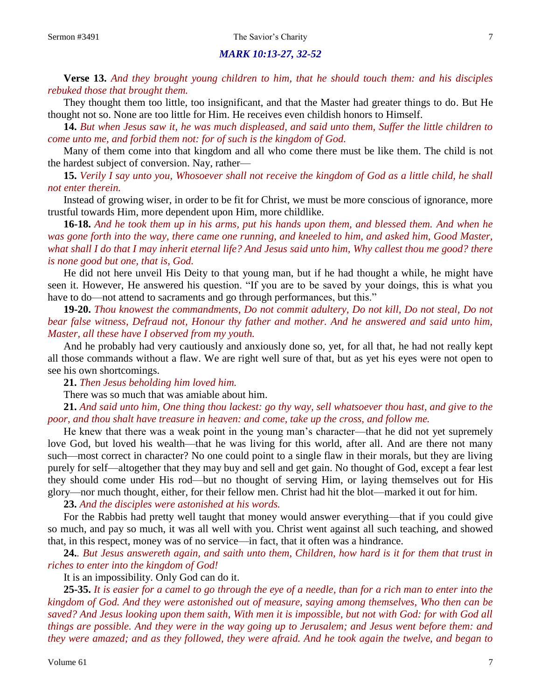#### *MARK 10:13-27, 32-52*

**Verse 13.** *And they brought young children to him, that he should touch them: and his disciples rebuked those that brought them.*

They thought them too little, too insignificant, and that the Master had greater things to do. But He thought not so. None are too little for Him. He receives even childish honors to Himself.

**14.** *But when Jesus saw it, he was much displeased, and said unto them, Suffer the little children to come unto me, and forbid them not: for of such is the kingdom of God.*

Many of them come into that kingdom and all who come there must be like them. The child is not the hardest subject of conversion. Nay, rather—

**15.** *Verily I say unto you, Whosoever shall not receive the kingdom of God as a little child, he shall not enter therein.*

Instead of growing wiser, in order to be fit for Christ, we must be more conscious of ignorance, more trustful towards Him, more dependent upon Him, more childlike.

**16-18.** *And he took them up in his arms, put his hands upon them, and blessed them. And when he was gone forth into the way, there came one running, and kneeled to him, and asked him, Good Master, what shall I do that I may inherit eternal life? And Jesus said unto him, Why callest thou me good? there is none good but one, that is, God.*

He did not here unveil His Deity to that young man, but if he had thought a while, he might have seen it. However, He answered his question. "If you are to be saved by your doings, this is what you have to do—not attend to sacraments and go through performances, but this."

**19-20.** *Thou knowest the commandments, Do not commit adultery, Do not kill, Do not steal, Do not bear false witness, Defraud not, Honour thy father and mother. And he answered and said unto him, Master, all these have I observed from my youth.*

And he probably had very cautiously and anxiously done so, yet, for all that, he had not really kept all those commands without a flaw. We are right well sure of that, but as yet his eyes were not open to see his own shortcomings.

**21.** *Then Jesus beholding him loved him.*

There was so much that was amiable about him.

**21.** *And said unto him, One thing thou lackest: go thy way, sell whatsoever thou hast, and give to the poor, and thou shalt have treasure in heaven: and come, take up the cross, and follow me.* 

He knew that there was a weak point in the young man's character—that he did not yet supremely love God, but loved his wealth—that he was living for this world, after all. And are there not many such—most correct in character? No one could point to a single flaw in their morals, but they are living purely for self—altogether that they may buy and sell and get gain. No thought of God, except a fear lest they should come under His rod—but no thought of serving Him, or laying themselves out for His glory—nor much thought, either, for their fellow men. Christ had hit the blot—marked it out for him.

**23.** *And the disciples were astonished at his words.* 

For the Rabbis had pretty well taught that money would answer everything—that if you could give so much, and pay so much, it was all well with you. Christ went against all such teaching, and showed that, in this respect, money was of no service—in fact, that it often was a hindrance.

**24.***. But Jesus answereth again, and saith unto them, Children, how hard is it for them that trust in riches to enter into the kingdom of God!*

It is an impossibility. Only God can do it.

**25-35.** *It is easier for a camel to go through the eye of a needle, than for a rich man to enter into the kingdom of God. And they were astonished out of measure, saying among themselves, Who then can be saved? And Jesus looking upon them saith, With men it is impossible, but not with God: for with God all things are possible. And they were in the way going up to Jerusalem; and Jesus went before them: and they were amazed; and as they followed, they were afraid. And he took again the twelve, and began to*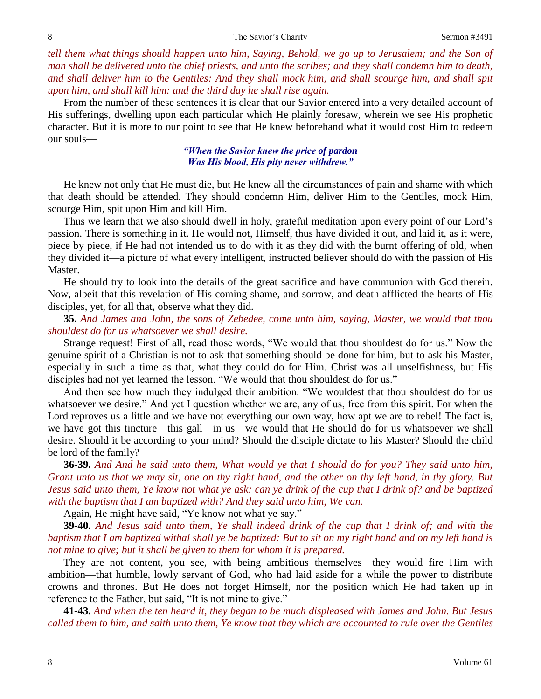*tell them what things should happen unto him, Saying, Behold, we go up to Jerusalem; and the Son of man shall be delivered unto the chief priests, and unto the scribes; and they shall condemn him to death, and shall deliver him to the Gentiles: And they shall mock him, and shall scourge him, and shall spit upon him, and shall kill him: and the third day he shall rise again.*

From the number of these sentences it is clear that our Savior entered into a very detailed account of His sufferings, dwelling upon each particular which He plainly foresaw, wherein we see His prophetic character. But it is more to our point to see that He knew beforehand what it would cost Him to redeem our souls—

> *"When the Savior knew the price of pardon Was His blood, His pity never withdrew."*

He knew not only that He must die, but He knew all the circumstances of pain and shame with which that death should be attended. They should condemn Him, deliver Him to the Gentiles, mock Him, scourge Him, spit upon Him and kill Him.

Thus we learn that we also should dwell in holy, grateful meditation upon every point of our Lord's passion. There is something in it. He would not, Himself, thus have divided it out, and laid it, as it were, piece by piece, if He had not intended us to do with it as they did with the burnt offering of old, when they divided it—a picture of what every intelligent, instructed believer should do with the passion of His Master.

He should try to look into the details of the great sacrifice and have communion with God therein. Now, albeit that this revelation of His coming shame, and sorrow, and death afflicted the hearts of His disciples, yet, for all that, observe what they did.

**35.** *And James and John, the sons of Zebedee, come unto him, saying, Master, we would that thou shouldest do for us whatsoever we shall desire.*

Strange request! First of all, read those words, "We would that thou shouldest do for us." Now the genuine spirit of a Christian is not to ask that something should be done for him, but to ask his Master, especially in such a time as that, what they could do for Him. Christ was all unselfishness, but His disciples had not yet learned the lesson. "We would that thou shouldest do for us."

And then see how much they indulged their ambition. "We wouldest that thou shouldest do for us whatsoever we desire." And yet I question whether we are, any of us, free from this spirit. For when the Lord reproves us a little and we have not everything our own way, how apt we are to rebel! The fact is, we have got this tincture—this gall—in us—we would that He should do for us whatsoever we shall desire. Should it be according to your mind? Should the disciple dictate to his Master? Should the child be lord of the family?

**36-39.** *And And he said unto them, What would ye that I should do for you? They said unto him, Grant unto us that we may sit, one on thy right hand, and the other on thy left hand, in thy glory. But Jesus said unto them, Ye know not what ye ask: can ye drink of the cup that I drink of? and be baptized with the baptism that I am baptized with? And they said unto him, We can.* 

Again, He might have said, "Ye know not what ye say."

**39-40.** *And Jesus said unto them, Ye shall indeed drink of the cup that I drink of; and with the baptism that I am baptized withal shall ye be baptized: But to sit on my right hand and on my left hand is not mine to give; but it shall be given to them for whom it is prepared.*

They are not content, you see, with being ambitious themselves—they would fire Him with ambition—that humble, lowly servant of God, who had laid aside for a while the power to distribute crowns and thrones. But He does not forget Himself, nor the position which He had taken up in reference to the Father, but said, "It is not mine to give."

**41-43.** *And when the ten heard it, they began to be much displeased with James and John. But Jesus called them to him, and saith unto them, Ye know that they which are accounted to rule over the Gentiles*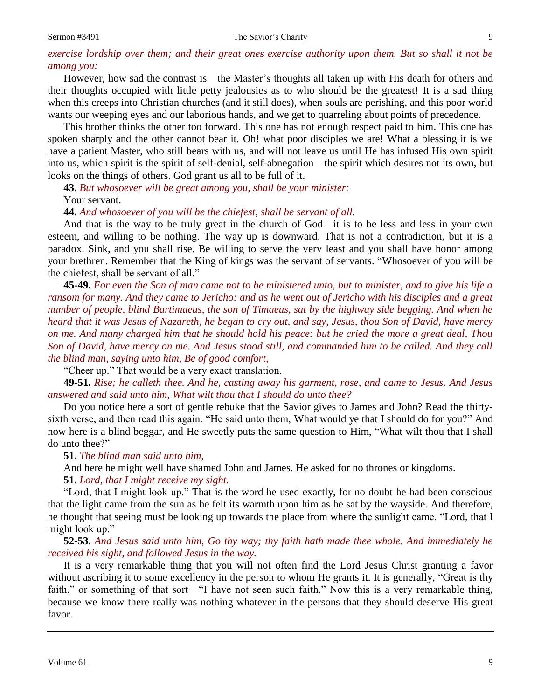#### Sermon #3491 The Savior's Charity 9

## *exercise lordship over them; and their great ones exercise authority upon them. But so shall it not be among you:*

However, how sad the contrast is—the Master's thoughts all taken up with His death for others and their thoughts occupied with little petty jealousies as to who should be the greatest! It is a sad thing when this creeps into Christian churches (and it still does), when souls are perishing, and this poor world wants our weeping eyes and our laborious hands, and we get to quarreling about points of precedence.

This brother thinks the other too forward. This one has not enough respect paid to him. This one has spoken sharply and the other cannot bear it. Oh! what poor disciples we are! What a blessing it is we have a patient Master, who still bears with us, and will not leave us until He has infused His own spirit into us, which spirit is the spirit of self-denial, self-abnegation—the spirit which desires not its own, but looks on the things of others. God grant us all to be full of it.

**43.** *But whosoever will be great among you, shall be your minister:* Your servant.

**44.** *And whosoever of you will be the chiefest, shall be servant of all.* 

And that is the way to be truly great in the church of God—it is to be less and less in your own esteem, and willing to be nothing. The way up is downward. That is not a contradiction, but it is a paradox. Sink, and you shall rise. Be willing to serve the very least and you shall have honor among your brethren. Remember that the King of kings was the servant of servants. "Whosoever of you will be the chiefest, shall be servant of all."

**45-49.** *For even the Son of man came not to be ministered unto, but to minister, and to give his life a ransom for many. And they came to Jericho: and as he went out of Jericho with his disciples and a great number of people, blind Bartimaeus, the son of Timaeus, sat by the highway side begging. And when he heard that it was Jesus of Nazareth, he began to cry out, and say, Jesus, thou Son of David, have mercy on me. And many charged him that he should hold his peace: but he cried the more a great deal, Thou Son of David, have mercy on me. And Jesus stood still, and commanded him to be called. And they call the blind man, saying unto him, Be of good comfort,* 

"Cheer up." That would be a very exact translation.

**49-51.** *Rise; he calleth thee. And he, casting away his garment, rose, and came to Jesus. And Jesus answered and said unto him, What wilt thou that I should do unto thee?*

Do you notice here a sort of gentle rebuke that the Savior gives to James and John? Read the thirtysixth verse, and then read this again. "He said unto them, What would ye that I should do for you?" And now here is a blind beggar, and He sweetly puts the same question to Him, "What wilt thou that I shall do unto thee?"

### **51.** *The blind man said unto him,*

And here he might well have shamed John and James. He asked for no thrones or kingdoms.

### **51.** *Lord, that I might receive my sight.*

"Lord, that I might look up." That is the word he used exactly, for no doubt he had been conscious that the light came from the sun as he felt its warmth upon him as he sat by the wayside. And therefore, he thought that seeing must be looking up towards the place from where the sunlight came. "Lord, that I might look up."

**52-53.** *And Jesus said unto him, Go thy way; thy faith hath made thee whole. And immediately he received his sight, and followed Jesus in the way.*

It is a very remarkable thing that you will not often find the Lord Jesus Christ granting a favor without ascribing it to some excellency in the person to whom He grants it. It is generally, "Great is thy faith," or something of that sort—"I have not seen such faith." Now this is a very remarkable thing, because we know there really was nothing whatever in the persons that they should deserve His great favor.